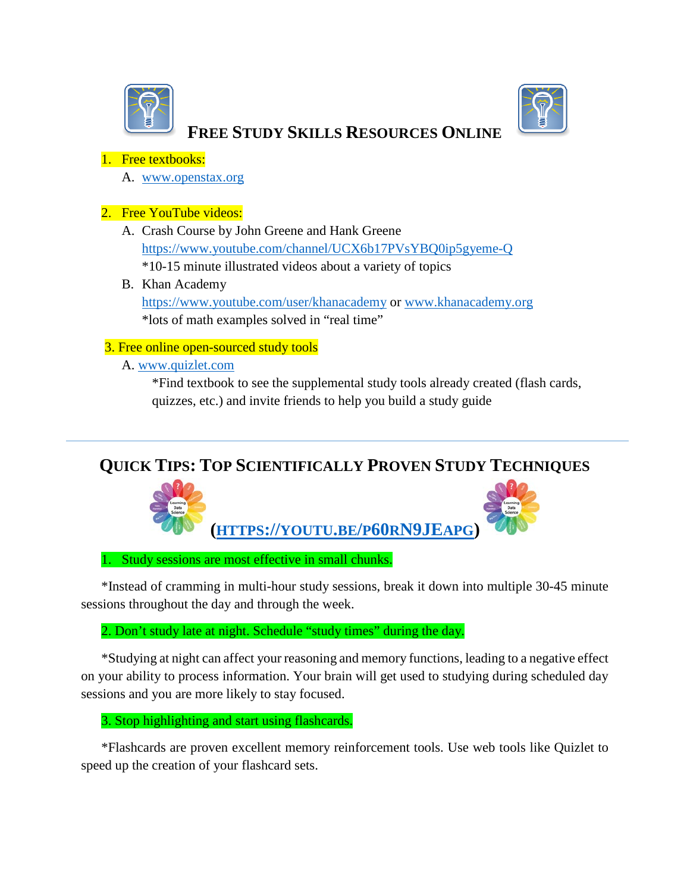



# **FREE STUDY SKILLS RESOURCES ONLINE**

# 1. Free textbooks:

A. [www.openstax.org](http://www.openstax.org/)

# 2. Free YouTube videos:

- A. Crash Course by John Greene and Hank Greene <https://www.youtube.com/channel/UCX6b17PVsYBQ0ip5gyeme-Q> \*10-15 minute illustrated videos about a variety of topics
- B. Khan Academy <https://www.youtube.com/user/khanacademy> or [www.khanacademy.org](http://www.khanacademy.org/) \*lots of math examples solved in "real time"

# 3. Free online open-sourced study tools

A. [www.quizlet.com](http://www.quizlet.com/)

\*Find textbook to see the supplemental study tools already created (flash cards, quizzes, etc.) and invite friends to help you build a study guide

# **QUICK TIPS: TOP SCIENTIFICALLY PROVEN STUDY TECHNIQUES**



1. Study sessions are most effective in small chunks.

\*Instead of cramming in multi-hour study sessions, break it down into multiple 30-45 minute sessions throughout the day and through the week.

2. Don't study late at night. Schedule "study times" during the day.

\*Studying at night can affect your reasoning and memory functions, leading to a negative effect on your ability to process information. Your brain will get used to studying during scheduled day sessions and you are more likely to stay focused.

# 3. Stop highlighting and start using flashcards.

\*Flashcards are proven excellent memory reinforcement tools. Use web tools like Quizlet to speed up the creation of your flashcard sets.